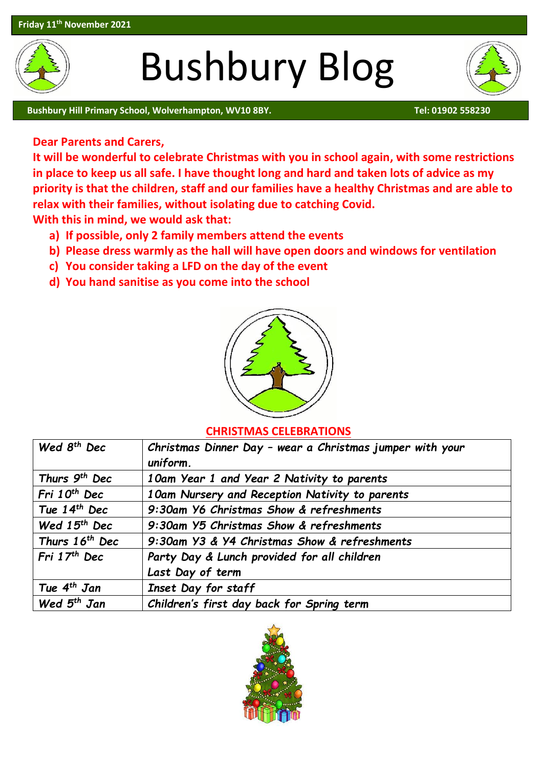

# Bushbury Blog





## **Dear Parents and Carers,**

**It will be wonderful to celebrate Christmas with you in school again, with some restrictions in place to keep us all safe. I have thought long and hard and taken lots of advice as my priority is that the children, staff and our families have a healthy Christmas and are able to relax with their families, without isolating due to catching Covid.** 

**With this in mind, we would ask that:**

- **a) If possible, only 2 family members attend the events**
- **b) Please dress warmly as the hall will have open doors and windows for ventilation**
- **c) You consider taking a LFD on the day of the event**
- **d) You hand sanitise as you come into the school**



#### **CHRISTMAS CELEBRATIONS**

| Wed 8 <sup>th</sup> Dec    | Christmas Dinner Day - wear a Christmas jumper with your |
|----------------------------|----------------------------------------------------------|
|                            | uniform.                                                 |
| Thurs 9 <sup>th</sup> Dec  | 10am Year 1 and Year 2 Nativity to parents               |
| Fri 10 <sup>th</sup> Dec   | 10am Nursery and Reception Nativity to parents           |
| Tue $14th$ Dec             | 9:30am Y6 Christmas Show & refreshments                  |
| Wed $15th$ Dec             | 9:30am Y5 Christmas Show & refreshments                  |
| Thurs 16 <sup>th</sup> Dec | 9:30am Y3 & Y4 Christmas Show & refreshments             |
| Fri $17th$ Dec             | Party Day & Lunch provided for all children              |
|                            | Last Day of term                                         |
| Tue 4 <sup>th</sup> Jan    | Inset Day for staff                                      |
| Wed $5th$ Jan              | Children's first day back for Spring term                |